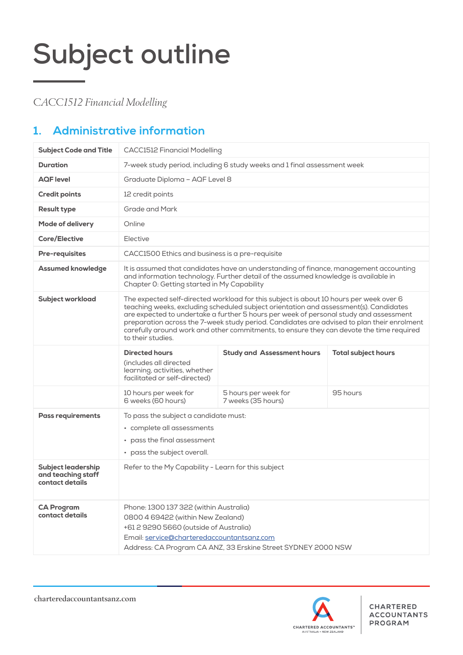*CACC1512 Financial Modelling*

## **1. Administrative information**

| <b>Subject Code and Title</b>                                      | <b>CACC1512 Financial Modelling</b>                                                                                                                                                                                                                                                                                                                                                                                                                                                     |                                            |                            |  |  |  |
|--------------------------------------------------------------------|-----------------------------------------------------------------------------------------------------------------------------------------------------------------------------------------------------------------------------------------------------------------------------------------------------------------------------------------------------------------------------------------------------------------------------------------------------------------------------------------|--------------------------------------------|----------------------------|--|--|--|
| <b>Duration</b>                                                    | 7-week study period, including 6 study weeks and 1 final assessment week                                                                                                                                                                                                                                                                                                                                                                                                                |                                            |                            |  |  |  |
| <b>AQF</b> level                                                   | Graduate Diploma - AQF Level 8                                                                                                                                                                                                                                                                                                                                                                                                                                                          |                                            |                            |  |  |  |
| <b>Credit points</b>                                               | 12 credit points                                                                                                                                                                                                                                                                                                                                                                                                                                                                        |                                            |                            |  |  |  |
| <b>Result type</b>                                                 | Grade and Mark                                                                                                                                                                                                                                                                                                                                                                                                                                                                          |                                            |                            |  |  |  |
| <b>Mode of delivery</b>                                            | Online                                                                                                                                                                                                                                                                                                                                                                                                                                                                                  |                                            |                            |  |  |  |
| <b>Core/Elective</b>                                               | Elective                                                                                                                                                                                                                                                                                                                                                                                                                                                                                |                                            |                            |  |  |  |
| <b>Pre-requisites</b>                                              | CACC1500 Ethics and business is a pre-requisite                                                                                                                                                                                                                                                                                                                                                                                                                                         |                                            |                            |  |  |  |
| <b>Assumed knowledge</b>                                           | It is assumed that candidates have an understanding of finance, management accounting<br>and information technology. Further detail of the assumed knowledge is available in<br>Chapter 0: Getting started in My Capability                                                                                                                                                                                                                                                             |                                            |                            |  |  |  |
| <b>Subject workload</b>                                            | The expected self-directed workload for this subject is about 10 hours per week over 6<br>teaching weeks, excluding scheduled subject orientation and assessment(s). Candidates<br>are expected to undertake a further 5 hours per week of personal study and assessment<br>preparation across the 7-week study period. Candidates are advised to plan their enrolment<br>carefully around work and other commitments, to ensure they can devote the time required<br>to their studies. |                                            |                            |  |  |  |
|                                                                    | <b>Directed hours</b><br>(includes all directed<br>learning, activities, whether<br>facilitated or self-directed)                                                                                                                                                                                                                                                                                                                                                                       | <b>Study and Assessment hours</b>          | <b>Total subject hours</b> |  |  |  |
|                                                                    | 10 hours per week for<br>6 weeks (60 hours)                                                                                                                                                                                                                                                                                                                                                                                                                                             | 5 hours per week for<br>7 weeks (35 hours) | 95 hours                   |  |  |  |
| <b>Pass requirements</b>                                           | To pass the subject a candidate must:<br>• complete all assessments<br>pass the final assessment<br>• pass the subject overall.                                                                                                                                                                                                                                                                                                                                                         |                                            |                            |  |  |  |
| <b>Subject leadership</b><br>and teaching staff<br>contact details | Refer to the My Capability - Learn for this subject                                                                                                                                                                                                                                                                                                                                                                                                                                     |                                            |                            |  |  |  |
| <b>CA Program</b><br>contact details                               | Phone: 1300 137 322 (within Australia)<br>0800 4 69422 (within New Zealand)<br>+61 2 9290 5660 (outside of Australia)<br>Email: service@charteredaccountantsanz.com<br>Address: CA Program CA ANZ, 33 Erskine Street SYDNEY 2000 NSW                                                                                                                                                                                                                                                    |                                            |                            |  |  |  |

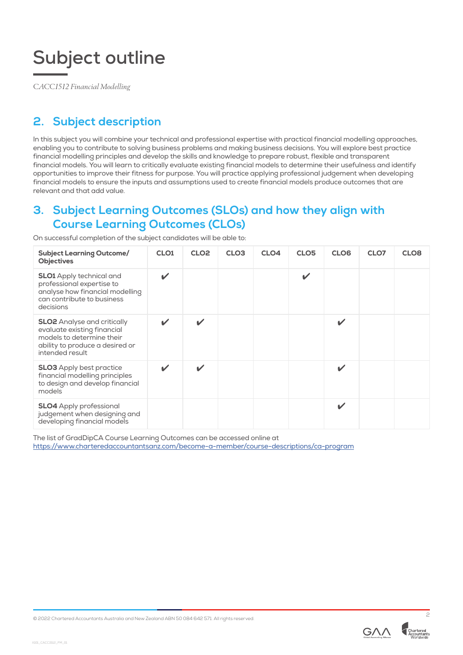*CACC1512 Financial Modelling*

## **2. Subject description**

In this subject you will combine your technical and professional expertise with practical financial modelling approaches, enabling you to contribute to solving business problems and making business decisions. You will explore best practice financial modelling principles and develop the skills and knowledge to prepare robust, flexible and transparent financial models. You will learn to critically evaluate existing financial models to determine their usefulness and identify opportunities to improve their fitness for purpose. You will practice applying professional judgement when developing financial models to ensure the inputs and assumptions used to create financial models produce outcomes that are relevant and that add value.

## **3. Subject Learning Outcomes (SLOs) and how they align with Course Learning Outcomes (CLOs)**

| <b>Subject Learning Outcome/</b><br><b>Objectives</b>                                                                                                | CLO <sub>1</sub> | CLO <sub>2</sub>   | CLO <sub>3</sub> | CLO4 | CLO <sub>5</sub> | CLO <sub>6</sub> | CLO7 | CLO <sub>8</sub> |
|------------------------------------------------------------------------------------------------------------------------------------------------------|------------------|--------------------|------------------|------|------------------|------------------|------|------------------|
| <b>SLO1</b> Apply technical and<br>professional expertise to<br>analyse how financial modelling<br>can contribute to business<br>decisions           | V                |                    |                  |      | ✓                |                  |      |                  |
| <b>SLO2</b> Analyse and critically<br>evaluate existing financial<br>models to determine their<br>ability to produce a desired or<br>intended result | ✓                | $\boldsymbol{\nu}$ |                  |      |                  | V                |      |                  |
| <b>SLO3</b> Apply best practice<br>financial modelling principles<br>to design and develop financial<br>models                                       |                  |                    |                  |      |                  | V                |      |                  |
| <b>SLO4</b> Apply professional<br>judgement when designing and<br>developing financial models                                                        |                  |                    |                  |      |                  | V                |      |                  |

On successful completion of the subject candidates will be able to:

The list of GradDipCA Course Learning Outcomes can be accessed online at <https://www.charteredaccountantsanz.com/become-a-member/course-descriptions/ca-program>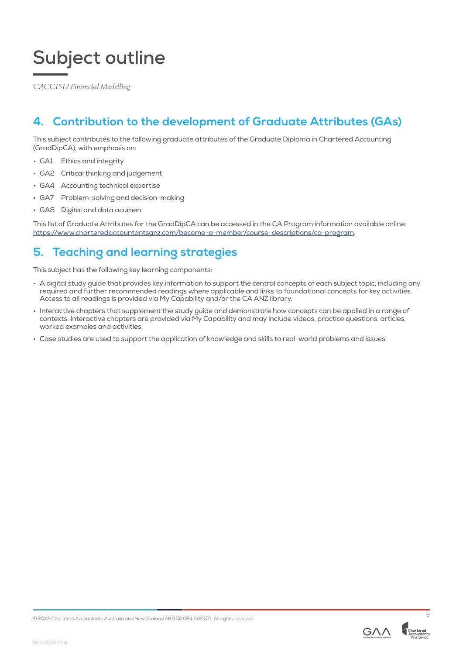*CACC1512 Financial Modelling*

## **4. Contribution to the development of Graduate Attributes (GAs)**

This subject contributes to the following graduate attributes of the Graduate Diploma in Chartered Accounting (GradDipCA), with emphasis on:

- GA1 Ethics and integrity
- GA2 Critical thinking and judgement
- GA4 Accounting technical expertise
- GA7 Problem-solving and decision-making
- GA8 Digital and data acumen

This list of Graduate Attributes for the GradDipCA can be accessed in the CA Program information available online: <https://www.charteredaccountantsanz.com/become-a-member/course-descriptions/ca-program>.

## **5. Teaching and learning strategies**

This subject has the following key learning components:

- A digital study guide that provides key information to support the central concepts of each subject topic, including any required and further recommended readings where applicable and links to foundational concepts for key activities. Access to all readings is provided via My Capability and/or the CA ANZ library.
- Interactive chapters that supplement the study guide and demonstrate how concepts can be applied in a range of contexts. Interactive chapters are provided via My Capability and may include videos, practice questions, articles, worked examples and activities.
- Case studies are used to support the application of knowledge and skills to real-world problems and issues.

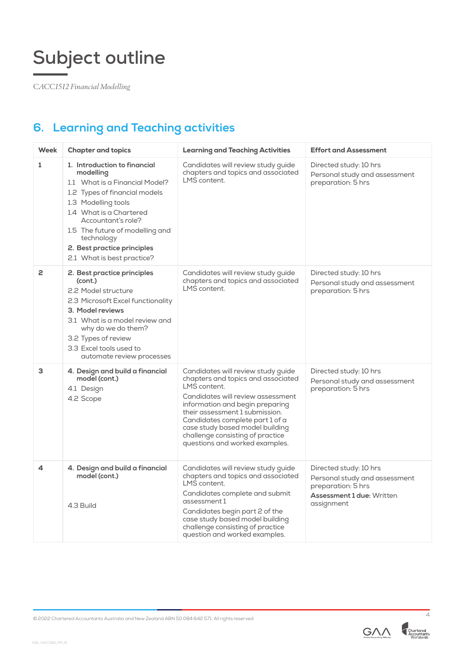*CACC1512 Financial Modelling*

## **6. Learning and Teaching activities**

| <b>Week</b>  | <b>Chapter and topics</b>                                                                                                                                                                                                                                                                          | <b>Learning and Teaching Activities</b>                                                                                                                                                                                                                                                                                                        | <b>Effort and Assessment</b>                                                                                                    |
|--------------|----------------------------------------------------------------------------------------------------------------------------------------------------------------------------------------------------------------------------------------------------------------------------------------------------|------------------------------------------------------------------------------------------------------------------------------------------------------------------------------------------------------------------------------------------------------------------------------------------------------------------------------------------------|---------------------------------------------------------------------------------------------------------------------------------|
| $\mathbf{1}$ | 1. Introduction to financial<br>modelling<br>1.1 What is a Financial Model?<br>1.2 Types of financial models<br>1.3 Modelling tools<br>1.4 What is a Chartered<br>Accountant's role?<br>1.5 The future of modelling and<br>technology<br>2. Best practice principles<br>2.1 What is best practice? | Candidates will review study guide<br>chapters and topics and associated<br>LMS content.                                                                                                                                                                                                                                                       | Directed study: 10 hrs<br>Personal study and assessment<br>preparation: 5 hrs                                                   |
| 2            | 2. Best practice principles<br>(cont.)<br>2.2 Model structure<br>2.3 Microsoft Excel functionality<br>3. Model reviews<br>3.1 What is a model review and<br>why do we do them?<br>3.2 Types of review<br>3.3 Excel tools used to<br>automate review processes                                      | Candidates will review study guide<br>chapters and topics and associated<br>LMS content.                                                                                                                                                                                                                                                       | Directed study: 10 hrs<br>Personal study and assessment<br>preparation: 5 hrs                                                   |
| 3            | 4. Design and build a financial<br>model (cont.)<br>4.1 Design<br>4.2 Scope                                                                                                                                                                                                                        | Candidates will review study guide<br>chapters and topics and associated<br>LMS content.<br>Candidates will review assessment<br>information and begin preparing<br>their assessment 1 submission.<br>Candidates complete part 1 of a<br>case study based model building<br>challenge consisting of practice<br>questions and worked examples. | Directed study: 10 hrs<br>Personal study and assessment<br>preparation: 5 hrs                                                   |
| 4            | 4. Design and build a financial<br>model (cont.)<br>4.3 Build                                                                                                                                                                                                                                      | Candidates will review study guide<br>chapters and topics and associated<br>LMS content.<br>Candidates complete and submit<br>assessment 1<br>Candidates begin part 2 of the<br>case study based model building<br>challenge consisting of practice<br>question and worked examples.                                                           | Directed study: 10 hrs<br>Personal study and assessment<br>preparation: 5 hrs<br><b>Assessment 1 due: Written</b><br>assignment |

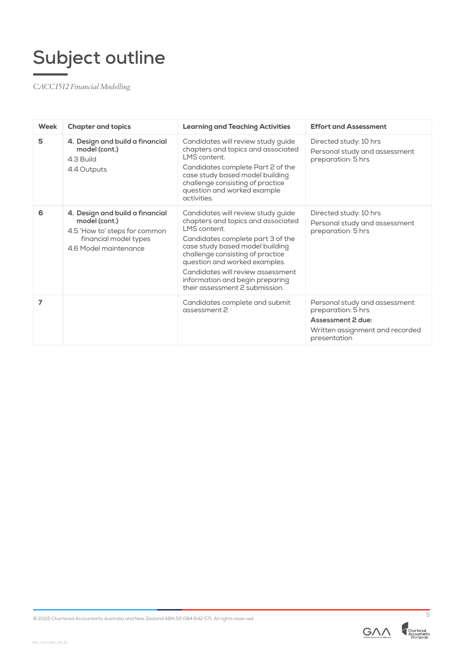*CACC1512 Financial Modelling*

| Week | <b>Chapter and topics</b>                                                                                                           | <b>Learning and Teaching Activities</b>                                                                                                                                                                                                                                                                                                          | <b>Effort and Assessment</b>                                                                                                |
|------|-------------------------------------------------------------------------------------------------------------------------------------|--------------------------------------------------------------------------------------------------------------------------------------------------------------------------------------------------------------------------------------------------------------------------------------------------------------------------------------------------|-----------------------------------------------------------------------------------------------------------------------------|
| 5    | 4. Design and build a financial<br>model (cont.)<br>4.3 Build<br>4.4 Outputs                                                        | Candidates will review study guide<br>chapters and topics and associated<br>LMS content.<br>Candidates complete Part 2 of the<br>case study based model building<br>challenge consisting of practice<br>question and worked example<br>activities.                                                                                               | Directed study: 10 hrs<br>Personal study and assessment<br>preparation: 5 hrs                                               |
| 6    | 4. Design and build a financial<br>model (cont.)<br>4.5 'How to' steps for common<br>financial model types<br>4.6 Model maintenance | Candidates will review study guide<br>chapters and topics and associated<br>I MS content.<br>Candidates complete part 3 of the<br>case study based model building<br>challenge consisting of practice<br>question and worked examples.<br>Candidates will review assessment<br>information and begin preparing<br>their assessment 2 submission. | Directed study: 10 hrs<br>Personal study and assessment<br>preparation: 5 hrs                                               |
| 7    |                                                                                                                                     | Candidates complete and submit<br>assessment 2                                                                                                                                                                                                                                                                                                   | Personal study and assessment<br>preparation: 5 hrs<br>Assessment 2 due:<br>Written assignment and recorded<br>presentation |



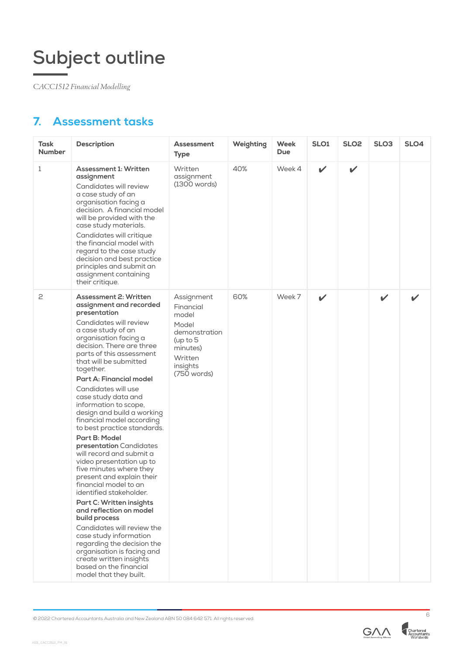*CACC1512 Financial Modelling*

## **7. Assessment tasks**

| Task<br><b>Number</b> | <b>Description</b>                                                                                                                                                                                                                                                                                                                                                                                                                                                                                                                                                                                                                                                                                                                                                                                                                                                                                                                             | <b>Assessment</b><br><b>Type</b>                                                                                           | Weighting | Week<br><b>Due</b> | SLO <sub>1</sub> | SLO <sub>2</sub> | SLO <sub>3</sub> | SLO4 |
|-----------------------|------------------------------------------------------------------------------------------------------------------------------------------------------------------------------------------------------------------------------------------------------------------------------------------------------------------------------------------------------------------------------------------------------------------------------------------------------------------------------------------------------------------------------------------------------------------------------------------------------------------------------------------------------------------------------------------------------------------------------------------------------------------------------------------------------------------------------------------------------------------------------------------------------------------------------------------------|----------------------------------------------------------------------------------------------------------------------------|-----------|--------------------|------------------|------------------|------------------|------|
| 1                     | <b>Assessment 1: Written</b><br>assignment<br>Candidates will review<br>a case study of an<br>organisation facing a<br>decision. A financial model<br>will be provided with the<br>case study materials.<br>Candidates will critique<br>the financial model with<br>regard to the case study<br>decision and best practice<br>principles and submit an<br>assignment containing<br>their critique.                                                                                                                                                                                                                                                                                                                                                                                                                                                                                                                                             | Written<br>assignment<br>(1300 words)                                                                                      | 40%       | Week 4             | $\mathbf{v}$     | $\mathbf{v}$     |                  |      |
| 2                     | <b>Assessment 2: Written</b><br>assignment and recorded<br>presentation<br>Candidates will review<br>a case study of an<br>organisation facing a<br>decision. There are three<br>parts of this assessment<br>that will be submitted<br>together.<br><b>Part A: Financial model</b><br>Candidates will use<br>case study data and<br>information to scope,<br>design and build a working<br>financial model according<br>to best practice standards.<br>Part B: Model<br>presentation Candidates<br>will record and submit a<br>video presentation up to<br>five minutes where they<br>present and explain their<br>financial model to an<br>identified stakeholder.<br>Part C: Written insights<br>and reflection on model<br>build process<br>Candidates will review the<br>case study information<br>regarding the decision the<br>organisation is facing and<br>create written insights<br>based on the financial<br>model that they built. | Assignment<br>Financial<br>model<br>Model<br>demonstration<br>(up to $5$<br>minutes)<br>Written<br>insights<br>(750 words) | 60%       | Week 7             | ✔                |                  | ✓                | ✓    |



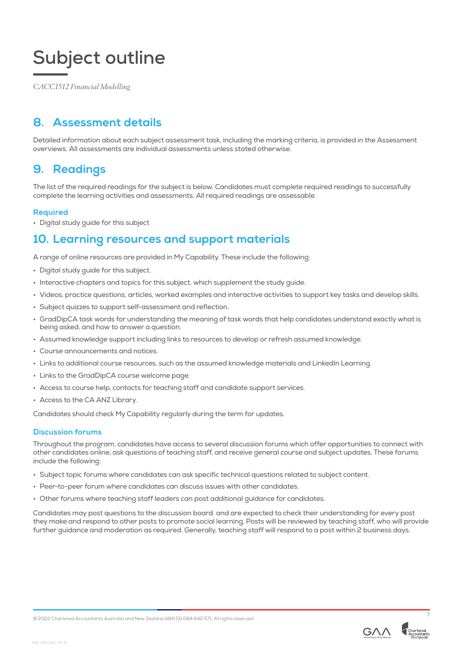*CACC1512 Financial Modelling*

## **8. Assessment details**

Detailed information about each subject assessment task, including the marking criteria, is provided in the Assessment overviews. All assessments are individual assessments unless stated otherwise.

### **9. Readings**

The list of the required readings for the subject is below. Candidates must complete required readings to successfully complete the learning activities and assessments. All required readings are assessable.

#### **Required**

• Digital study guide for this subject

### **10. Learning resources and support materials**

A range of online resources are provided in My Capability. These include the following:

- Digital study guide for this subject.
- Interactive chapters and topics for this subject, which supplement the study guide.
- Videos, practice questions, articles, worked examples and interactive activities to support key tasks and develop skills.
- Subject quizzes to support self-assessment and reflection.
- GradDipCA task words for understanding the meaning of task words that help candidates understand exactly what is being asked, and how to answer a question.
- Assumed knowledge support including links to resources to develop or refresh assumed knowledge.
- Course announcements and notices.
- Links to additional course resources, such as the assumed knowledge materials and LinkedIn Learning.
- Links to the GradDipCA course welcome page.
- Access to course help, contacts for teaching staff and candidate support services.
- Access to the CA ANZ Library.

Candidates should check My Capability regularly during the term for updates.

#### **Discussion forums**

Throughout the program, candidates have access to several discussion forums which offer opportunities to connect with other candidates online, ask questions of teaching staff, and receive general course and subject updates. These forums include the following:

- Subject topic forums where candidates can ask specific technical questions related to subject content.
- Peer-to-peer forum where candidates can discuss issues with other candidates.
- Other forums where teaching staff leaders can post additional guidance for candidates.

Candidates may post questions to the discussion board. and are expected to check their understanding for every post they make and respond to other posts to promote social learning. Posts will be reviewed by teaching staff, who will provide further guidance and moderation as required. Generally, teaching staff will respond to a post within 2 business days.



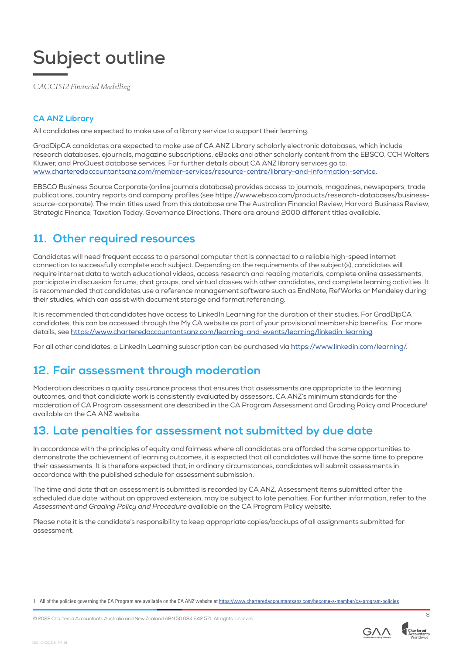*CACC1512 Financial Modelling*

#### **CA ANZ Library**

All candidates are expected to make use of a library service to support their learning.

GradDipCA candidates are expected to make use of CA ANZ Library scholarly electronic databases, which include research databases, ejournals, magazine subscriptions, eBooks and other scholarly content from the EBSCO, CCH Wolters Kluwer, and ProQuest database services. For further details about CA ANZ library services go to: [www.charteredaccountantsanz.com/member-services/resource-centre/library-and-information-service](http://www.charteredaccountantsanz.com/member-services/resource-centre/library-and-information-service).

EBSCO Business Source Corporate (online journals database) provides access to journals, magazines, newspapers, trade publications, country reports and company profiles (see https://www.ebsco.com/products/research-databases/businesssource-corporate). The main titles used from this database are The Australian Financial Review, Harvard Business Review, Strategic Finance, Taxation Today, Governance Directions. There are around 2000 different titles available.

### **11. Other required resources**

Candidates will need frequent access to a personal computer that is connected to a reliable high-speed internet connection to successfully complete each subject. Depending on the requirements of the subject(s), candidates will require internet data to watch educational videos, access research and reading materials, complete online assessments, participate in discussion forums, chat groups, and virtual classes with other candidates, and complete learning activities. It is recommended that candidates use a reference management software such as EndNote, RefWorks or Mendeley during their studies, which can assist with document storage and format referencing.

It is recommended that candidates have access to LinkedIn Learning for the duration of their studies. For GradDipCA candidates, this can be accessed through the My CA website as part of your provisional membership benefits. For more details, see [https://www.charteredaccountantsanz.com/learning-and-events/learning/linkedin-learning.](https://www.charteredaccountantsanz.com/learning-and-events/learning/linkedin-learning)

For all other candidates, a LinkedIn Learning subscription can be purchased via [https://www.linkedin.com/learning/.](https://www.linkedin.com/learning/)

## **12. Fair assessment through moderation**

Moderation describes a quality assurance process that ensures that assessments are appropriate to the learning outcomes, and that candidate work is consistently evaluated by assessors. CA ANZ's minimum standards for the moderation of CA Program assessment are described in the CA Program Assessment and Grading Policy and Procedure<sup>1</sup> available on the CA ANZ website.

### **13. Late penalties for assessment not submitted by due date**

In accordance with the principles of equity and fairness where all candidates are afforded the same opportunities to demonstrate the achievement of learning outcomes, it is expected that all candidates will have the same time to prepare their assessments. It is therefore expected that, in ordinary circumstances, candidates will submit assessments in accordance with the published schedule for assessment submission.

The time and date that an assessment is submitted is recorded by CA ANZ. Assessment items submitted after the scheduled due date, without an approved extension, may be subject to late penalties. For further information, refer to the *Assessment and Grading Policy and Procedure* available on the CA Program Policy website.

Please note it is the candidate's responsibility to keep appropriate copies/backups of all assignments submitted for assessment.

1 All of the policies governing the CA Program are available on the CA ANZ website at <https://www.charteredaccountantsanz.com/become-a-member/ca-program-policies>

© 2022 Chartered Accountants Australia and New Zealand ABN 50 084 642 571. All rights reserved. <sup>8</sup>



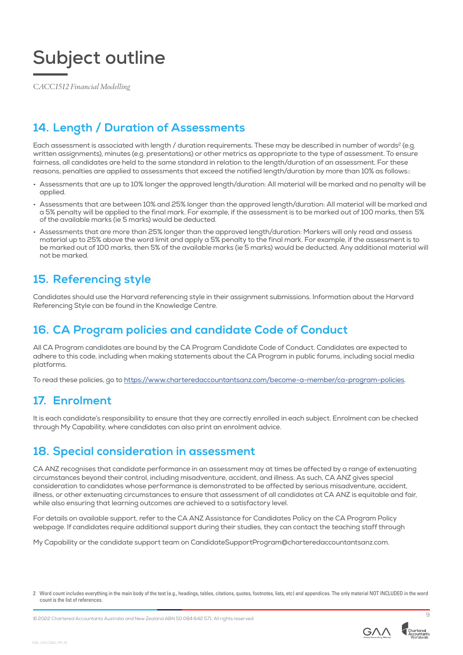*CACC1512 Financial Modelling*

## **14. Length / Duration of Assessments**

Each assessment is associated with length / duration requirements. These may be described in number of words<sup>2</sup> (e.g. written assignments), minutes (e.g. presentations) or other metrics as appropriate to the type of assessment. To ensure fairness, all candidates are held to the same standard in relation to the length/duration of an assessment. For these reasons, penalties are applied to assessments that exceed the notified length/duration by more than 10% as follows::

- Assessments that are up to 10% longer the approved length/duration: All material will be marked and no penalty will be applied.
- Assessments that are between 10% and 25% longer than the approved length/duration: All material will be marked and a 5% penalty will be applied to the final mark. For example, if the assessment is to be marked out of 100 marks, then 5% of the available marks (ie 5 marks) would be deducted.
- Assessments that are more than 25% longer than the approved length/duration: Markers will only read and assess material up to 25% above the word limit and apply a 5% penalty to the final mark. For example, if the assessment is to be marked out of 100 marks, then 5% of the available marks (ie 5 marks) would be deducted. Any additional material will not be marked.

## **15. Referencing style**

Candidates should use the Harvard referencing style in their assignment submissions. Information about the Harvard Referencing Style can be found in the Knowledge Centre.

## **16. CA Program policies and candidate Code of Conduct**

All CA Program candidates are bound by the CA Program Candidate Code of Conduct. Candidates are expected to adhere to this code, including when making statements about the CA Program in public forums, including social media platforms.

To read these policies, go to<https://www.charteredaccountantsanz.com/become-a-member/ca-program-policies>.

## **17. Enrolment**

It is each candidate's responsibility to ensure that they are correctly enrolled in each subject. Enrolment can be checked through My Capability, where candidates can also print an enrolment advice.

## **18. Special consideration in assessment**

CA ANZ recognises that candidate performance in an assessment may at times be affected by a range of extenuating circumstances beyond their control, including misadventure, accident, and illness. As such, CA ANZ gives special consideration to candidates whose performance is demonstrated to be affected by serious misadventure, accident, illness, or other extenuating circumstances to ensure that assessment of all candidates at CA ANZ is equitable and fair, while also ensuring that learning outcomes are achieved to a satisfactory level.

For details on available support, refer to the CA ANZ Assistance for Candidates Policy on the CA Program Policy webpage. If candidates require additional support during their studies, they can contact the teaching staff through

My Capability or the candidate support team on CandidateSupportProgram@charteredaccountantsanz.com.

<sup>2</sup> Word count includes everything in the main body of the text (e.g., headings, tables, citations, quotes, footnotes, lists, etc) and appendices. The only material NOT INCLUDED in the word count is the list of references.



X101\_CACC1512\_FM\_01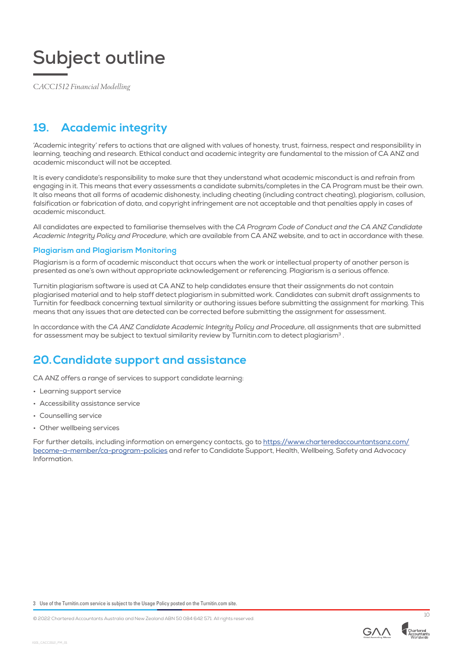

*CACC1512 Financial Modelling*

## **19. Academic integrity**

'Academic integrity' refers to actions that are aligned with values of honesty, trust, fairness, respect and responsibility in learning, teaching and research. Ethical conduct and academic integrity are fundamental to the mission of CA ANZ and academic misconduct will not be accepted.

It is every candidate's responsibility to make sure that they understand what academic misconduct is and refrain from engaging in it. This means that every assessments a candidate submits/completes in the CA Program must be their own. It also means that all forms of academic dishonesty, including cheating (including contract cheating), plagiarism, collusion, falsification or fabrication of data, and copyright infringement are not acceptable and that penalties apply in cases of academic misconduct.

All candidates are expected to familiarise themselves with the *CA Program Code of Conduct and the CA ANZ Candidate Academic Integrity Policy and Procedure*, which are available from CA ANZ website, and to act in accordance with these.

#### **Plagiarism and Plagiarism Monitoring**

Plagiarism is a form of academic misconduct that occurs when the work or intellectual property of another person is presented as one's own without appropriate acknowledgement or referencing. Plagiarism is a serious offence.

Turnitin plagiarism software is used at CA ANZ to help candidates ensure that their assignments do not contain plagiarised material and to help staff detect plagiarism in submitted work. Candidates can submit draft assignments to Turnitin for feedback concerning textual similarity or authoring issues before submitting the assignment for marking. This means that any issues that are detected can be corrected before submitting the assignment for assessment.

In accordance with the *CA ANZ Candidate Academic Integrity Policy and Procedure*, all assignments that are submitted for assessment may be subject to textual similarity review by Turnitin.com to detect plagiarism<sup>3</sup>.

## **20.Candidate support and assistance**

CA ANZ offers a range of services to support candidate learning:

- Learning support service
- Accessibility assistance service
- Counselling service
- Other wellbeing services

For further details, including information on emergency contacts, go to [https://www.charteredaccountantsanz.com/](mailto:/become-a-member/ca-program-policies?subject=) [become-a-member/ca-program-policies](mailto:/become-a-member/ca-program-policies?subject=) and refer to Candidate Support, Health, Wellbeing, Safety and Advocacy Information.

3 Use of the Turnitin.com service is subject to the Usage Policy posted on the Turnitin.com site.